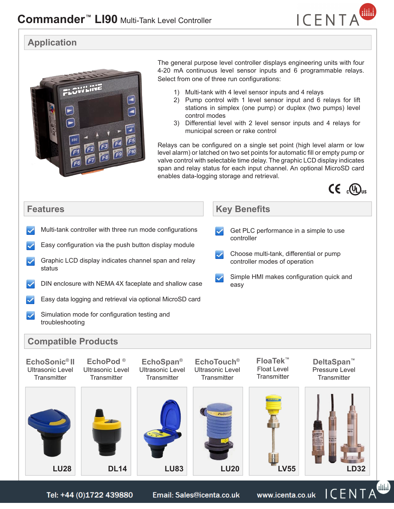

#### **Application**



The general purpose level controller displays engineering units with four 4-20 mA continuous level sensor inputs and 6 programmable relays. Select from one of three run configurations:

- 1) Multi-tank with 4 level sensor inputs and 4 relays
- 2) Pump control with 1 level sensor input and 6 relays for lift stations in simplex (one pump) or duplex (two pumps) level control modes
- 3) Differential level with 2 level sensor inputs and 4 relays for municipal screen or rake control

Relays can be configured on a single set point (high level alarm or low level alarm) or latched on two set points for automatic fill or empty pump or valve control with selectable time delay. The graphic LCD display indicates span and relay status for each input channel. An optional MicroSD card enables data-logging storage and retrieval.



#### **Features Key Benefits**  $\blacktriangleright$  Multi-tank controller with three run mode configurations Get PLC performance in a simple to use controller  $\blacktriangleright$  Easy configuration via the push button display module  $\triangleright$  Choose multi-tank, differential or pump  $\blacktriangleright$  Graphic LCD display indicates channel span and relay controller modes of operation status • Simple HMI makes configuration quick and  $\triangleright$  DIN enclosure with NEMA 4X faceplate and shallow case easy **Easy data logging and retrieval via optional MicroSD card** • Simulation mode for configuration testing and troubleshooting **Compatible Products FloaTek™ EchoSonic® II EchoTouch® DeltaSpan™ EchoPod ® EchoSpan®** Ultrasonic Level Ultrasonic Level Float Level Pressure Level Ultrasonic Level Ultrasonic Level **Transmitter Transmitter Transmitter Transmitter Transmitter Transmitter LU28 DL14 LU83 LU20 LV55 LD32** Œ Tel: +44 (0)1722 439880 Email: Sales@icenta.co.uk www.icenta.co.uk  $\mathsf{ICENTA}$